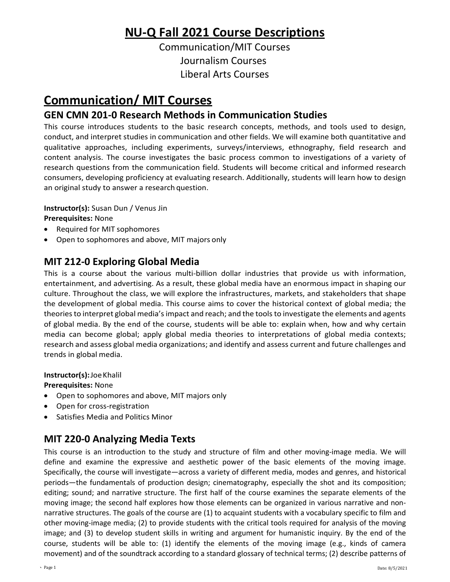# **NU‐Q Fall 2021 Course Descriptions**

Communication/MIT Courses Journalism Courses Liberal Arts Courses

# **Communication/ MIT Courses**

### **GEN CMN 201‐0 Research Methods in Communication Studies**

This course introduces students to the basic research concepts, methods, and tools used to design, conduct, and interpret studies in communication and other fields. We will examine both quantitative and qualitative approaches, including experiments, surveys/interviews, ethnography, field research and content analysis. The course investigates the basic process common to investigations of a variety of research questions from the communication field. Students will become critical and informed research consumers, developing proficiency at evaluating research. Additionally, students will learn how to design an original study to answer a research question.

**Instructor(s):** Susan Dun / Venus Jin

**Prerequisites:** None

- Required for MIT sophomores
- Open to sophomores and above, MIT majors only

## **MIT 212‐0 Exploring Global Media**

This is a course about the various multi‐billion dollar industries that provide us with information, entertainment, and advertising. As a result, these global media have an enormous impact in shaping our culture. Throughout the class, we will explore the infrastructures, markets, and stakeholders that shape the development of global media. This course aims to cover the historical context of global media; the theoriesto interpret global media'simpact and reach; and the toolsto investigate the elements and agents of global media. By the end of the course, students will be able to: explain when, how and why certain media can become global; apply global media theories to interpretations of global media contexts; research and assess global media organizations; and identify and assess current and future challenges and trends in global media.

**Instructor(s):**JoeKhalil

**Prerequisites:** None

- Open to sophomores and above, MIT majors only
- Open for cross‐registration
- Satisfies Media and Politics Minor

## **MIT 220‐0 Analyzing Media Texts**

This course is an introduction to the study and structure of film and other moving-image media. We will define and examine the expressive and aesthetic power of the basic elements of the moving image. Specifically, the course will investigate—across a variety of different media, modes and genres, and historical periods—the fundamentals of production design; cinematography, especially the shot and its composition; editing; sound; and narrative structure. The first half of the course examines the separate elements of the moving image; the second half explores how those elements can be organized in various narrative and nonnarrative structures. The goals of the course are (1) to acquaint students with a vocabulary specific to film and other moving-image media; (2) to provide students with the critical tools required for analysis of the moving image; and (3) to develop student skills in writing and argument for humanistic inquiry. By the end of the course, students will be able to: (1) identify the elements of the moving image (e.g., kinds of camera movement) and of the soundtrack according to a standard glossary of technical terms; (2) describe patterns of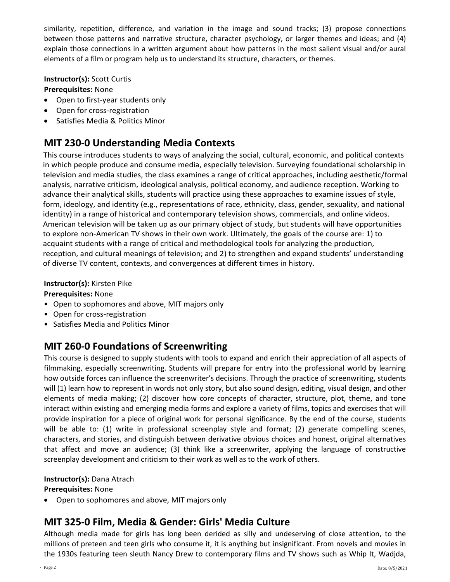similarity, repetition, difference, and variation in the image and sound tracks; (3) propose connections between those patterns and narrative structure, character psychology, or larger themes and ideas; and (4) explain those connections in a written argument about how patterns in the most salient visual and/or aural elements of a film or program help us to understand its structure, characters, or themes.

**Instructor(s):** Scott Curtis

**Prerequisites:** None

- Open to first-year students only
- Open for cross-registration
- Satisfies Media & Politics Minor

## **MIT 230-0 Understanding Media Contexts**

This course introduces students to ways of analyzing the social, cultural, economic, and political contexts in which people produce and consume media, especially television. Surveying foundational scholarship in television and media studies, the class examines a range of critical approaches, including aesthetic/formal analysis, narrative criticism, ideological analysis, political economy, and audience reception. Working to advance their analytical skills, students will practice using these approaches to examine issues of style, form, ideology, and identity (e.g., representations of race, ethnicity, class, gender, sexuality, and national identity) in a range of historical and contemporary television shows, commercials, and online videos. American television will be taken up as our primary object of study, but students will have opportunities to explore non-American TV shows in their own work. Ultimately, the goals of the course are: 1) to acquaint students with a range of critical and methodological tools for analyzing the production, reception, and cultural meanings of television; and 2) to strengthen and expand students' understanding of diverse TV content, contexts, and convergences at different times in history.

#### **Instructor(s):** Kirsten Pike

### **Prerequisites:** None

- Open to sophomores and above, MIT majors only
- Open for cross-registration
- Satisfies Media and Politics Minor

### **MIT 260‐0 Foundations of Screenwriting**

This course is designed to supply students with tools to expand and enrich their appreciation of all aspects of filmmaking, especially screenwriting. Students will prepare for entry into the professional world by learning how outside forces can influence the screenwriter's decisions. Through the practice of screenwriting, students will (1) learn how to represent in words not only story, but also sound design, editing, visual design, and other elements of media making; (2) discover how core concepts of character, structure, plot, theme, and tone interact within existing and emerging media forms and explore a variety of films, topics and exercises that will provide inspiration for a piece of original work for personal significance. By the end of the course, students will be able to: (1) write in professional screenplay style and format; (2) generate compelling scenes, characters, and stories, and distinguish between derivative obvious choices and honest, original alternatives that affect and move an audience; (3) think like a screenwriter, applying the language of constructive screenplay development and criticism to their work as well as to the work of others.

#### **Instructor(s):** Dana Atrach

#### **Prerequisites:** None

• Open to sophomores and above, MIT majors only

### **MIT 325‐0 Film, Media & Gender: Girls' Media Culture**

Although media made for girls has long been derided as silly and undeserving of close attention, to the millions of preteen and teen girls who consume it, it is anything but insignificant. From novels and movies in the 1930s featuring teen sleuth Nancy Drew to contemporary films and TV shows such as Whip It, Wadjda,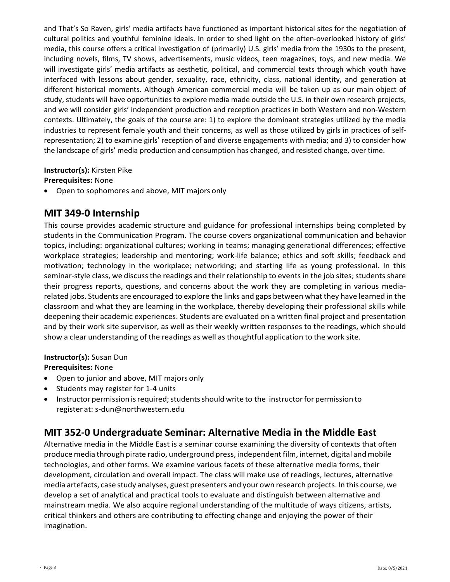and That's So Raven, girls' media artifacts have functioned as important historical sites for the negotiation of cultural politics and youthful feminine ideals. In order to shed light on the often-overlooked history of girls' media, this course offers a critical investigation of (primarily) U.S. girls' media from the 1930s to the present, including novels, films, TV shows, advertisements, music videos, teen magazines, toys, and new media. We will investigate girls' media artifacts as aesthetic, political, and commercial texts through which youth have interfaced with lessons about gender, sexuality, race, ethnicity, class, national identity, and generation at different historical moments. Although American commercial media will be taken up as our main object of study, students will have opportunities to explore media made outside the U.S. in their own research projects, and we will consider girls' independent production and reception practices in both Western and non-Western contexts. Ultimately, the goals of the course are: 1) to explore the dominant strategies utilized by the media industries to represent female youth and their concerns, as well as those utilized by girls in practices of selfrepresentation; 2) to examine girls' reception of and diverse engagements with media; and 3) to consider how the landscape of girls' media production and consumption has changed, and resisted change, over time.

### **Instructor(s):** Kirsten Pike

#### **Prerequisites:** None

• Open to sophomores and above, MIT majors only

### **MIT 349‐0 Internship**

This course provides academic structure and guidance for professional internships being completed by students in the Communication Program. The course covers organizational communication and behavior topics, including: organizational cultures; working in teams; managing generational differences; effective workplace strategies; leadership and mentoring; work‐life balance; ethics and soft skills; feedback and motivation; technology in the workplace; networking; and starting life as young professional. In this seminar-style class, we discuss the readings and their relationship to events in the job sites; students share their progress reports, questions, and concerns about the work they are completing in various media‐ related jobs. Students are encouraged to explore the links and gaps between what they have learned in the classroom and what they are learning in the workplace, thereby developing their professional skills while deepening their academic experiences. Students are evaluated on a written final project and presentation and by their work site supervisor, as well as their weekly written responses to the readings, which should show a clear understanding of the readings as well as thoughtful application to the work site.

#### **Instructor(s):** Susan Dun

**Prerequisites:** None

- Open to junior and above, MIT majors only
- Students may register for 1‐4 units
- Instructor permission is required; students should write to the instructor for permission to register at: s[‐dun@northwestern.edu](mailto:dun@northwestern.edu)

### **MIT 352‐0 Undergraduate Seminar: Alternative Media in the Middle East**

Alternative media in the Middle East is a seminar course examining the diversity of contexts that often produce media through pirate radio, underground press, independent film, internet, digital and mobile technologies, and other forms. We examine various facets of these alternative media forms, their development, circulation and overall impact. The class will make use of readings, lectures, alternative media artefacts, case study analyses, guest presenters and your own research projects. In this course, we develop a set of analytical and practical tools to evaluate and distinguish between alternative and mainstream media. We also acquire regional understanding of the multitude of ways citizens, artists, critical thinkers and others are contributing to effecting change and enjoying the power of their imagination.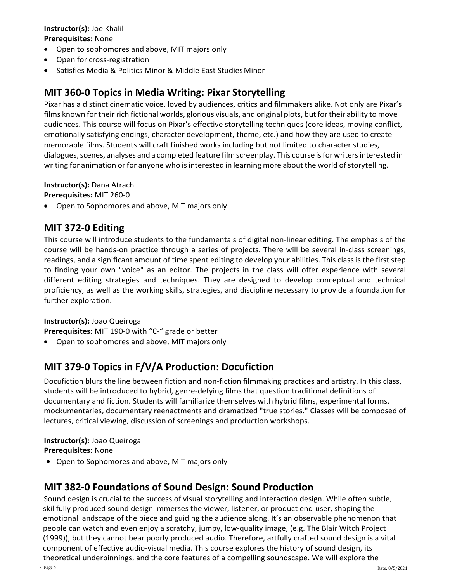#### **Instructor(s):** Joe Khalil **Prerequisites:** None

- Open to sophomores and above, MIT majors only
- Open for cross‐registration
- Satisfies Media & Politics Minor & Middle East Studies Minor

## **MIT 360‐0 Topics in Media Writing: Pixar Storytelling**

Pixar has a distinct cinematic voice, loved by audiences, critics and filmmakers alike. Not only are Pixar's films known for their rich fictional worlds, glorious visuals, and original plots, but for their ability to move audiences. This course will focus on Pixar's effective storytelling techniques (core ideas, moving conflict, emotionally satisfying endings, character development, theme, etc.) and how they are used to create memorable films. Students will craft finished works including but not limited to character studies, dialogues, scenes, analyses and a completed feature film screenplay. This course is for writers interested in writing for animation or for anyone who is interested in learning more about the world of storytelling.

**Instructor(s):** Dana Atrach

**Prerequisites:** MIT 260‐0

• Open to Sophomores and above, MIT majors only

## **MIT 372‐0 Editing**

This course will introduce students to the fundamentals of digital non‐linear editing. The emphasis of the course will be hands‐on practice through a series of projects. There will be several in‐class screenings, readings, and a significant amount of time spent editing to develop your abilities. This class is the first step to finding your own "voice" as an editor. The projects in the class will offer experience with several different editing strategies and techniques. They are designed to develop conceptual and technical proficiency, as well as the working skills, strategies, and discipline necessary to provide a foundation for further exploration.

### **Instructor(s):** Joao Queiroga

**Prerequisites:** MIT 190‐0 with "C‐" grade or better

• Open to sophomores and above, MIT majors only

## **MIT 379‐0 Topics in F/V/A Production: Docufiction**

Docufiction blurs the line between fiction and non‐fiction filmmaking practices and artistry. In this class, students will be introduced to hybrid, genre‐defying films that question traditional definitions of documentary and fiction. Students will familiarize themselves with hybrid films, experimental forms, mockumentaries, documentary reenactments and dramatized "true stories." Classes will be composed of lectures, critical viewing, discussion of screenings and production workshops.

### **Instructor(s):** Joao Queiroga

**Prerequisites:** None

• Open to Sophomores and above, MIT majors only

## **MIT 382-0 Foundations of Sound Design: Sound Production**

Sound design is crucial to the success of visual storytelling and interaction design. While often subtle, skillfully produced sound design immerses the viewer, listener, or product end-user, shaping the emotional landscape of the piece and guiding the audience along. It's an observable phenomenon that people can watch and even enjoy a scratchy, jumpy, low-quality image, (e.g. The Blair Witch Project (1999)), but they cannot bear poorly produced audio. Therefore, artfully crafted sound design is a vital component of effective audio-visual media. This course explores the history of sound design, its theoretical underpinnings, and the core features of a compelling soundscape. We will explore the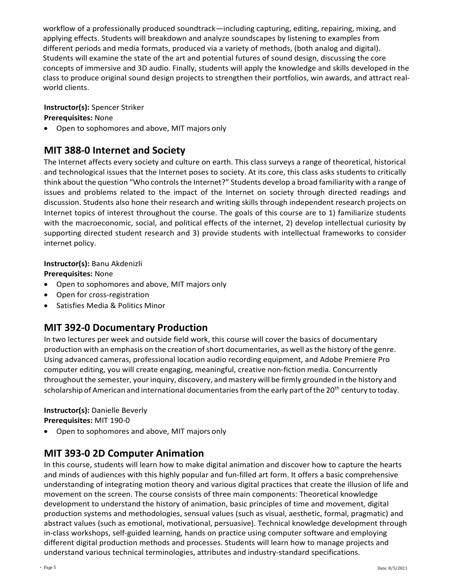workflow of a professionally produced soundtrack—including capturing, editing, repairing, mixing, and applying effects. Students will breakdown and analyze soundscapes by listening to examples from different periods and media formats, produced via a variety of methods, (both analog and digital). Students will examine the state of the art and potential futures of sound design, discussing the core concepts of immersive and 3D audio. Finally, students will apply the knowledge and skills developed in the class to produce original sound design projects to strengthen their portfolios, win awards, and attract realworld clients.

### **Instructor(s):** Spencer Striker

**Prerequisites:** None

• Open to sophomores and above, MIT majors only

### **MIT 388‐0 Internet and Society**

The Internet affects every society and culture on earth. This class surveys a range of theoretical, historical and technological issues that the Internet poses to society. At its core, this class asks students to critically think about the question "Who controls the Internet?" Students develop a broad familiarity with a range of issues and problems related to the impact of the Internet on society through directed readings and discussion. Students also hone their research and writing skills through independent research projects on Internet topics of interest throughout the course. The goals of this course are to 1) familiarize students with the macroeconomic, social, and political effects of the internet, 2) develop intellectual curiosity by supporting directed student research and 3) provide students with intellectual frameworks to consider internet policy.

### **Instructor(s):** Banu Akdenizli

#### **Prerequisites:** None

- Open to sophomores and above, MIT majors only
- Open for cross‐registration
- Satisfies Media & Politics Minor

### **MIT 392‐0 Documentary Production**

In two lectures per week and outside field work, this course will cover the basics of documentary production with an emphasis on the creation of short documentaries, as well as the history of the genre. Using advanced cameras, professional location audio recording equipment, and Adobe Premiere Pro computer editing, you will create engaging, meaningful, creative non-fiction media. Concurrently throughout the semester, your inquiry, discovery, and mastery will be firmly grounded in the history and scholarship of American and international documentaries from the early part of the 20<sup>th</sup> century to today.

**Instructor(s):** Danielle Beverly **Prerequisites:** MIT 190‐0

• Open to sophomores and above, MIT majors only

## **MIT 393‐0 2D Computer Animation**

In this course, students will learn how to make digital animation and discover how to capture the hearts and minds of audiences with this highly popular and fun-filled art form. It offers a basic comprehensive understanding of integrating motion theory and various digital practices that create the illusion of life and movement on the screen. The course consists of three main components: Theoretical knowledge development to understand the history of animation, basic principles of time and movement, digital production systems and methodologies, sensual values (such as visual, aesthetic, formal, pragmatic) and abstract values (such as emotional, motivational, persuasive). Technical knowledge development through in-class workshops, self-guided learning, hands on practice using computer software and employing different digital production methods and processes. Students will learn how to manage projects and understand various technical terminologies, attributes and industry-standard specifications.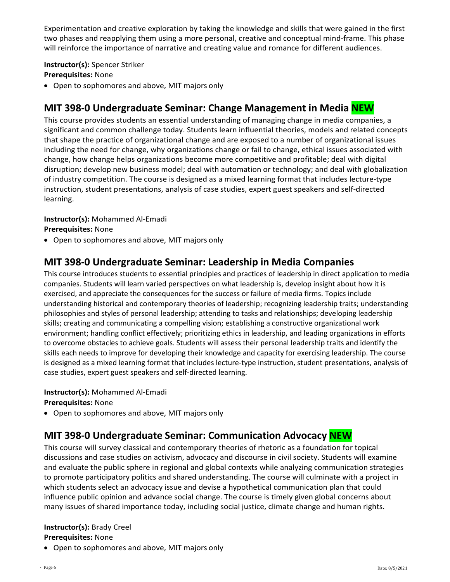Experimentation and creative exploration by taking the knowledge and skills that were gained in the first two phases and reapplying them using a more personal, creative and conceptual mind-frame. This phase will reinforce the importance of narrative and creating value and romance for different audiences.

**Instructor(s):** Spencer Striker **Prerequisites:** None

• Open to sophomores and above, MIT majors only

## **MIT 398‐0 Undergraduate Seminar: Change Management in Media NEW**

This course provides students an essential understanding of managing change in media companies, a significant and common challenge today. Students learn influential theories, models and related concepts that shape the practice of organizational change and are exposed to a number of organizational issues including the need for change, why organizations change or fail to change, ethical issues associated with change, how change helps organizations become more competitive and profitable; deal with digital disruption; develop new business model; deal with automation or technology; and deal with globalization of industry competition. The course is designed as a mixed learning format that includes lecture-type instruction, student presentations, analysis of case studies, expert guest speakers and self-directed learning.

**Instructor(s):** Mohammed Al-Emadi **Prerequisites:** None

• Open to sophomores and above, MIT majors only

### **MIT 398-0 Undergraduate Seminar: Leadership in Media Companies**

This course introduces students to essential principles and practices of leadership in direct application to media companies. Students will learn varied perspectives on what leadership is, develop insight about how it is exercised, and appreciate the consequences for the success or failure of media firms. Topics include understanding historical and contemporary theories of leadership; recognizing leadership traits; understanding philosophies and styles of personal leadership; attending to tasks and relationships; developing leadership skills; creating and communicating a compelling vision; establishing a constructive organizational work environment; handling conflict effectively; prioritizing ethics in leadership, and leading organizations in efforts to overcome obstacles to achieve goals. Students will assess their personal leadership traits and identify the skills each needs to improve for developing their knowledge and capacity for exercising leadership. The course is designed as a mixed learning format that includes lecture-type instruction, student presentations, analysis of case studies, expert guest speakers and self-directed learning.

**Instructor(s):** Mohammed Al-Emadi **Prerequisites:** None

• Open to sophomores and above, MIT majors only

## **MIT 398‐0 Undergraduate Seminar: Communication Advocacy NEW**

This course will survey classical and contemporary theories of rhetoric as a foundation for topical discussions and case studies on activism, advocacy and discourse in civil society. Students will examine and evaluate the public sphere in regional and global contexts while analyzing communication strategies to promote participatory politics and shared understanding. The course will culminate with a project in which students select an advocacy issue and devise a hypothetical communication plan that could influence public opinion and advance social change. The course is timely given global concerns about many issues of shared importance today, including social justice, climate change and human rights.

# **Instructor(s):** Brady Creel

### **Prerequisites:** None

• Open to sophomores and above, MIT majors only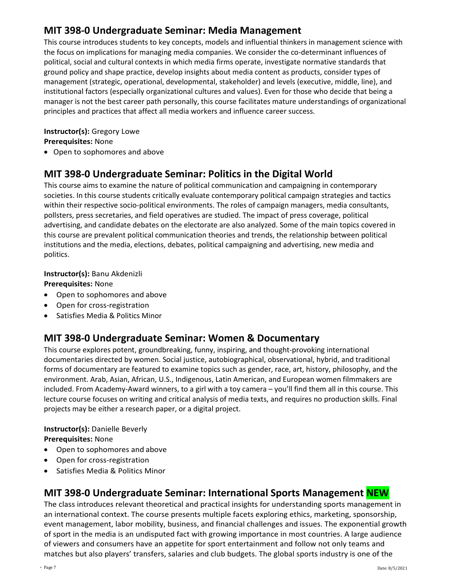## **MIT 398-0 Undergraduate Seminar: Media Management**

This course introduces students to key concepts, models and influential thinkers in management science with the focus on implications for managing media companies. We consider the co-determinant influences of political, social and cultural contexts in which media firms operate, investigate normative standards that ground policy and shape practice, develop insights about media content as products, consider types of management (strategic, operational, developmental, stakeholder) and levels (executive, middle, line), and institutional factors (especially organizational cultures and values). Even for those who decide that being a manager is not the best career path personally, this course facilitates mature understandings of organizational principles and practices that affect all media workers and influence career success.

#### **Instructor(s):** Gregory Lowe **Prerequisites:** None

• Open to sophomores and above

## **MIT 398‐0 Undergraduate Seminar: Politics in the Digital World**

This course aims to examine the nature of political communication and campaigning in contemporary societies. In this course students critically evaluate contemporary political campaign strategies and tactics within their respective socio-political environments. The roles of campaign managers, media consultants, pollsters, press secretaries, and field operatives are studied. The impact of press coverage, political advertising, and candidate debates on the electorate are also analyzed. Some of the main topics covered in this course are prevalent political communication theories and trends, the relationship between political institutions and the media, elections, debates, political campaigning and advertising, new media and politics.

### **Instructor(s):** Banu Akdenizli

#### **Prerequisites:** None

- Open to sophomores and above
- Open for cross-registration
- Satisfies Media & Politics Minor

### **MIT 398-0 Undergraduate Seminar: Women & Documentary**

This course explores potent, groundbreaking, funny, inspiring, and thought-provoking international documentaries directed by women. Social justice, autobiographical, observational, hybrid, and traditional forms of documentary are featured to examine topics such as gender, race, art, history, philosophy, and the environment. Arab, Asian, African, U.S., Indigenous, Latin American, and European women filmmakers are included. From Academy-Award winners, to a girl with a toy camera – you'll find them all in this course. This lecture course focuses on writing and critical analysis of media texts, and requires no production skills. Final projects may be either a research paper, or a digital project.

#### **Instructor(s):** Danielle Beverly **Prerequisites:** None

- Open to sophomores and above
- Open for cross-registration
- Satisfies Media & Politics Minor

### **MIT 398‐0 Undergraduate Seminar: International Sports Management NEW**

The class introduces relevant theoretical and practical insights for understanding sports management in an international context. The course presents multiple facets exploring ethics, marketing, sponsorship, event management, labor mobility, business, and financial challenges and issues. The exponential growth of sport in the media is an undisputed fact with growing importance in most countries. A large audience of viewers and consumers have an appetite for sport entertainment and follow not only teams and matches but also players' transfers, salaries and club budgets. The global sports industry is one of the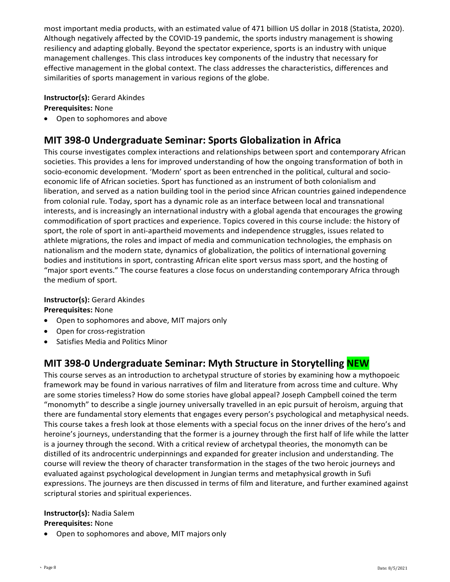most important media products, with an estimated value of 471 billion US dollar in 2018 (Statista, 2020). Although negatively affected by the COVID-19 pandemic, the sports industry management is showing resiliency and adapting globally. Beyond the spectator experience, sports is an industry with unique management challenges. This class introduces key components of the industry that necessary for effective management in the global context. The class addresses the characteristics, differences and similarities of sports management in various regions of the globe.

**Instructor(s):** Gerard Akindes

**Prerequisites:** None

• Open to sophomores and above

## **MIT 398‐0 Undergraduate Seminar: Sports Globalization in Africa**

This course investigates complex interactions and relationships between sport and contemporary African societies. This provides a lens for improved understanding of how the ongoing transformation of both in socio-economic development. 'Modern' sport as been entrenched in the political, cultural and socioeconomic life of African societies. Sport has functioned as an instrument of both colonialism and liberation, and served as a nation building tool in the period since African countries gained independence from colonial rule. Today, sport has a dynamic role as an interface between local and transnational interests, and is increasingly an international industry with a global agenda that encourages the growing commodification of sport practices and experience. Topics covered in this course include: the history of sport, the role of sport in anti-apartheid movements and independence struggles, issues related to athlete migrations, the roles and impact of media and communication technologies, the emphasis on nationalism and the modern state, dynamics of globalization, the politics of international governing bodies and institutions in sport, contrasting African elite sport versus mass sport, and the hosting of "major sport events." The course features a close focus on understanding contemporary Africa through the medium of sport.

### **Instructor(s):** Gerard Akindes

**Prerequisites:** None

- Open to sophomores and above, MIT majors only
- Open for cross-registration
- Satisfies Media and Politics Minor

## **MIT 398‐0 Undergraduate Seminar: Myth Structure in Storytelling NEW**

This course serves as an introduction to archetypal structure of stories by examining how a mythopoeic framework may be found in various narratives of film and literature from across time and culture. Why are some stories timeless? How do some stories have global appeal? Joseph Campbell coined the term "monomyth" to describe a single journey universally travelled in an epic pursuit of heroism, arguing that there are fundamental story elements that engages every person's psychological and metaphysical needs. This course takes a fresh look at those elements with a special focus on the inner drives of the hero's and heroine's journeys, understanding that the former is a journey through the first half of life while the latter is a journey through the second. With a critical review of archetypal theories, the monomyth can be distilled of its androcentric underpinnings and expanded for greater inclusion and understanding. The course will review the theory of character transformation in the stages of the two heroic journeys and evaluated against psychological development in Jungian terms and metaphysical growth in Sufi expressions. The journeys are then discussed in terms of film and literature, and further examined against scriptural stories and spiritual experiences.

# **Instructor(s):** Nadia Salem

### **Prerequisites:** None

• Open to sophomores and above, MIT majors only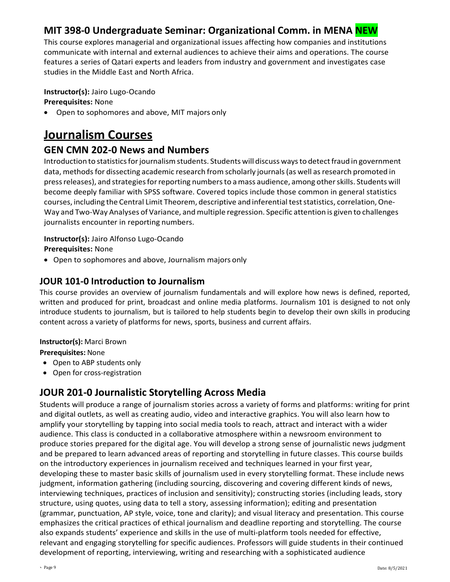## **MIT 398‐0 Undergraduate Seminar: Organizational Comm. in MENA NEW**

This course explores managerial and organizational issues affecting how companies and institutions communicate with internal and external audiences to achieve their aims and operations. The course features a series of Qatari experts and leaders from industry and government and investigates case studies in the Middle East and North Africa.

**Instructor(s):** Jairo Lugo-Ocando

### **Prerequisites:** None

• Open to sophomores and above, MIT majors only

# **Journalism Courses**

## **GEN CMN 202‐0 News and Numbers**

Introduction to statistics for journalism students. Students will discuss ways to detect fraud in government data, methods for dissecting academic research from scholarly journals (as well as research promoted in pressreleases), and strategiesforreporting numbersto amass audience, among otherskills. Students will become deeply familiar with SPSS software. Covered topics include those common in general statistics courses, including the Central Limit Theorem, descriptive and inferential test statistics, correlation, One-Way and Two‐Way Analyses of Variance, and multiple regression. Specific attention is given to challenges journalists encounter in reporting numbers.

### **Instructor(s):** Jairo Alfonso Lugo‐Ocando **Prerequisites:** None

• Open to sophomores and above, Journalism majors only

### **JOUR 101-0 Introduction to Journalism**

This course provides an overview of journalism fundamentals and will explore how news is defined, reported, written and produced for print, broadcast and online media platforms. Journalism 101 is designed to not only introduce students to journalism, but is tailored to help students begin to develop their own skills in producing content across a variety of platforms for news, sports, business and current affairs.

### **Instructor(s):** Marci Brown

**Prerequisites:** None

- Open to ABP students only
- Open for cross-registration

## **JOUR 201‐0 Journalistic Storytelling Across Media**

Students will produce a range of journalism stories across a variety of forms and platforms: writing for print and digital outlets, as well as creating audio, video and interactive graphics. You will also learn how to amplify your storytelling by tapping into social media tools to reach, attract and interact with a wider audience. This class is conducted in a collaborative atmosphere within a newsroom environment to produce stories prepared for the digital age. You will develop a strong sense of journalistic news judgment and be prepared to learn advanced areas of reporting and storytelling in future classes. This course builds on the introductory experiences in journalism received and techniques learned in your first year, developing these to master basic skills of journalism used in every storytelling format. These include news judgment, information gathering (including sourcing, discovering and covering different kinds of news, interviewing techniques, practices of inclusion and sensitivity); constructing stories (including leads, story structure, using quotes, using data to tell a story, assessing information); editing and presentation (grammar, punctuation, AP style, voice, tone and clarity); and visual literacy and presentation. This course emphasizes the critical practices of ethical journalism and deadline reporting and storytelling. The course also expands students' experience and skills in the use of multi-platform tools needed for effective, relevant and engaging storytelling for specific audiences. Professors will guide students in their continued development of reporting, interviewing, writing and researching with a sophisticated audience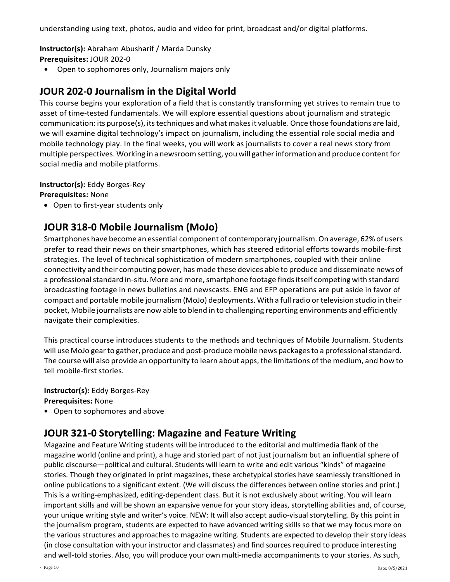understanding using text, photos, audio and video for print, broadcast and/or digital platforms.

**Instructor(s):** Abraham Abusharif / Marda Dunsky

- **Prerequisites:** JOUR 202‐0
- **•** Open to sophomores only, Journalism majors only

## **JOUR 202‐0 Journalism in the Digital World**

This course begins your exploration of a field that is constantly transforming yet strives to remain true to asset of time‐tested fundamentals. We will explore essential questions about journalism and strategic communication: its purpose(s), itstechniques and whatmakesit valuable.Once those foundations are laid, we will examine digital technology's impact on journalism, including the essential role social media and mobile technology play. In the final weeks, you will work as journalists to cover a real news story from multiple perspectives. Working in a newsroomsetting, youwill gatherinformation and produce contentfor social media and mobile platforms.

**Instructor(s):** Eddy Borges‐Rey

**Prerequisites:** None

• Open to first-year students only

### **JOUR 318‐0 Mobile Journalism (MoJo)**

Smartphones have become an essential component of contemporary journalism. On average, 62% of users prefer to read their news on their smartphones, which has steered editorial efforts towards mobile‐first strategies. The level of technical sophistication of modern smartphones, coupled with their online connectivity and their computing power, has made these devices able to produce and disseminate news of a professional standard in-situ. More and more, smartphone footage finds itself competing with standard broadcasting footage in news bulletins and newscasts. ENG and EFP operations are put aside in favor of compact and portable mobile journalism(MoJo) deployments. With a fullradio ortelevision studio in their pocket, Mobile journalists are now able to blend in to challenging reporting environments and efficiently navigate their complexities.

This practical course introduces students to the methods and techniques of Mobile Journalism. Students will use MoJo gear to gather, produce and post-produce mobile news packages to a professional standard. The course will also provide an opportunity to learn about apps, the limitations ofthe medium, and how to tell mobile‐first stories.

**Instructor(s):** Eddy Borges‐Rey **Prerequisites:** None

**•** Open to sophomores and above

## **JOUR 321‐0 Storytelling: Magazine and Feature Writing**

Magazine and Feature Writing students will be introduced to the editorial and multimedia flank of the magazine world (online and print), a huge and storied part of not just journalism but an influential sphere of public discourse—political and cultural. Students will learn to write and edit various "kinds" of magazine stories. Though they originated in print magazines, these archetypical stories have seamlessly transitioned in online publications to a significant extent. (We will discuss the differences between online stories and print.) This is a writing-emphasized, editing-dependent class. But it is not exclusively about writing. You will learn important skills and will be shown an expansive venue for your story ideas, storytelling abilities and, of course, your unique writing style and writer's voice. NEW: It will also accept audio-visual storytelling. By this point in the journalism program, students are expected to have advanced writing skills so that we may focus more on the various structures and approaches to magazine writing. Students are expected to develop their story ideas (in close consultation with your instructor and classmates) and find sources required to produce interesting and well-told stories. Also, you will produce your own multi-media accompaniments to your stories. As such,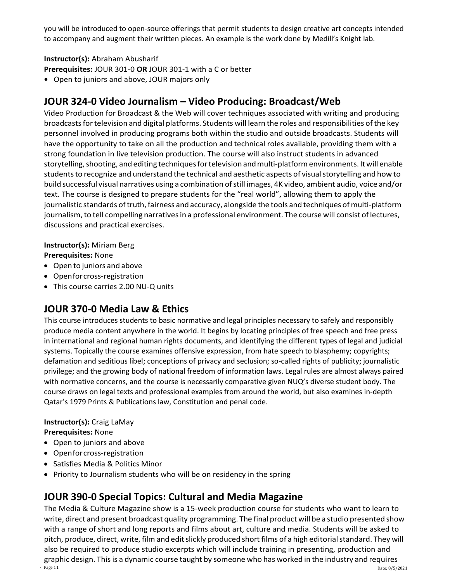you will be introduced to open-source offerings that permit students to design creative art concepts intended to accompany and augment their written pieces. An example is the work done by Medill's Knight lab.

### **Instructor(s):** Abraham Abusharif

**Prerequisites:** JOUR 301‐0 **OR** JOUR 301‐1 with a C or better

**•** Open to juniors and above, JOUR majors only

## **JOUR 324‐0 Video Journalism – Video Producing: Broadcast/Web**

Video Production for Broadcast & the Web will cover techniques associated with writing and producing broadcastsfortelevision and digital platforms. Students will learn the roles and responsibilities ofthe key personnel involved in producing programs both within the studio and outside broadcasts. Students will have the opportunity to take on all the production and technical roles available, providing them with a strong foundation in live television production. The course will also instruct students in advanced storytelling, shooting, and editing techniques for television and multi-platform environments. It will enable students to recognize and understand the technical and aesthetic aspects of visual storytelling and how to build successful visual narratives using a combination ofstill images, 4K video, ambient audio, voice and/or text. The course is designed to prepare students for the "real world", allowing them to apply the journalistic standards of truth, fairness and accuracy, alongside the tools and techniques of multi-platform journalism, to tell compelling narratives in a professional environment. The course will consist of lectures, discussions and practical exercises.

**Instructor(s):** Miriam Berg

**Prerequisites:** None

- Open to juniors and above
- Openforcross‐registration
- This course carries 2.00 NU‐Q units

## **JOUR 370‐0 Media Law & Ethics**

This course introduces students to basic normative and legal principles necessary to safely and responsibly produce media content anywhere in the world. It begins by locating principles of free speech and free press in international and regional human rights documents, and identifying the different types of legal and judicial systems. Topically the course examines offensive expression, from hate speech to blasphemy; copyrights; defamation and seditious libel; conceptions of privacy and seclusion; so-called rights of publicity; journalistic privilege; and the growing body of national freedom of information laws. Legal rules are almost always paired with normative concerns, and the course is necessarily comparative given NUQ's diverse student body. The course draws on legal texts and professional examples from around the world, but also examines in-depth Qatar's 1979 Prints & Publications law, Constitution and penal code.

### **Instructor(s):** Craig LaMay

**Prerequisites:** None

- Open to juniors and above
- Openforcross‐registration
- Satisfies Media & Politics Minor
- Priority to Journalism students who will be on residency in the spring

## **JOUR 390‐0 Special Topics: Cultural and Media Magazine**

 $\frac{p_{\text{age}}}{p_{\text{age}}}$  and  $\frac{p_{\text{age}}}{p_{\text{age}}}$  and  $\frac{p_{\text{age}}}{p_{\text{age}}}$  and  $\frac{p_{\text{age}}}{p_{\text{age}}}$  and  $\frac{p_{\text{age}}}{p_{\text{age}}}$  and  $\frac{p_{\text{age}}}{p_{\text{age}}}$  and  $\frac{p_{\text{age}}}{p_{\text{age}}}$  and  $\frac{p_{\text{age}}}{p_{\text{age}}}$  and  $\frac{p_{\text{age}}}{p_{\text{age}}}$  The Media & Culture Magazine show is a 15‐week production course for students who want to learn to write, direct and present broadcast quality programming. The final product will be a studio presented show with a range of short and long reports and films about art, culture and media. Students will be asked to pitch, produce, direct, write, film and edit slickly produced short films of a high editorial standard. They will also be required to produce studio excerpts which will include training in presenting, production and graphic design. Thisis a dynamic course taught by someone who has worked in the industry and requires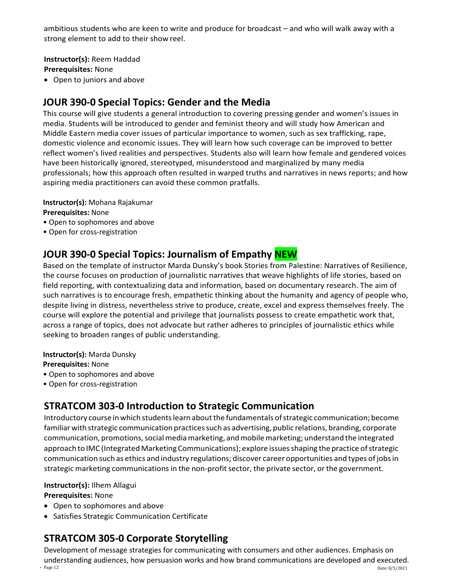ambitious students who are keen to write and produce for broadcast – and who will walk away with a strong element to add to their show reel.

**Instructor(s):** Reem Haddad **Prerequisites:** None

• Open to juniors and above

### **JOUR 390‐0 Special Topics: Gender and the Media**

This course will give students a general introduction to covering pressing gender and women's issues in media. Students will be introduced to gender and feminist theory and will study how American and Middle Eastern media cover issues of particular importance to women, such as sex trafficking, rape, domestic violence and economic issues. They will learn how such coverage can be improved to better reflect women's lived realities and perspectives. Students also will learn how female and gendered voices have been historically ignored, stereotyped, misunderstood and marginalized by many media professionals; how this approach often resulted in warped truths and narratives in news reports; and how aspiring media practitioners can avoid these common pratfalls.

**Instructor(s):** Mohana Rajakumar

**Prerequisites:** None

- Open to sophomores and above
- Open for cross-registration

### **JOUR 390‐0 Special Topics: Journalism of Empathy NEW**

Based on the template of instructor Marda Dunsky's book Stories from Palestine: Narratives of Resilience, the course focuses on production of journalistic narratives that weave highlights of life stories, based on field reporting, with contextualizing data and information, based on documentary research. The aim of such narratives is to encourage fresh, empathetic thinking about the humanity and agency of people who, despite living in distress, nevertheless strive to produce, create, excel and express themselves freely. The course will explore the potential and privilege that journalists possess to create empathetic work that, across a range of topics, does not advocate but rather adheres to principles of journalistic ethics while seeking to broaden ranges of public understanding.

**Instructor(s):** Marda Dunsky

**Prerequisites:** None

- Open to sophomores and above
- Open for cross-registration

### **STRATCOM 303‐0 Introduction to Strategic Communication**

Introductory course in which students learn about the fundamentals of strategic communication; become familiar with strategic communication practices such as advertising, public relations, branding, corporate communication, promotions, social media marketing, and mobile marketing; understand the integrated approach to IMC (Integrated Marketing Communications); explore issues shaping the practice of strategic communication such as ethics and industry regulations; discover career opportunities and types of jobsin strategic marketing communications in the non-profit sector, the private sector, or the government.

#### **Instructor(s):** Ilhem Allagui

#### **Prerequisites:** None

- Open to sophomores and above
- Satisfies Strategic Communication Certificate

### **STRATCOM 305‐0 Corporate Storytelling**

 $\frac{1}{2}$  Page 12 Date: 8/5/2021  $\frac{1}{2}$ Development of message strategies for communicating with consumers and other audiences. Emphasis on understanding audiences, how persuasion works and how brand communications are developed and executed.<br>
reace 12<br>
Rate: 8/5/2021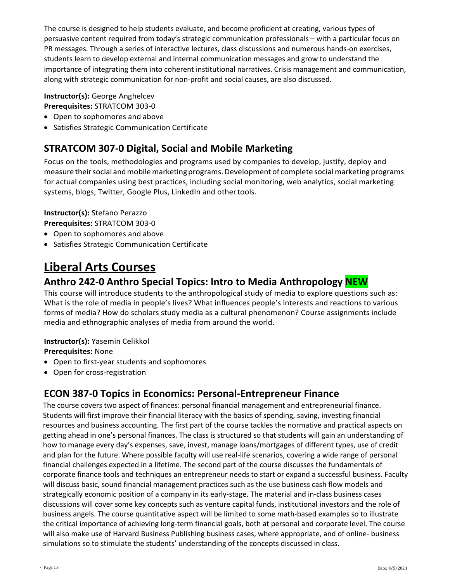The course is designed to help students evaluate, and become proficient at creating, various types of persuasive content required from today's strategic communication professionals – with a particular focus on PR messages. Through a series of interactive lectures, class discussions and numerous hands-on exercises, students learn to develop external and internal communication messages and grow to understand the importance of integrating them into coherent institutional narratives. Crisis management and communication, along with strategic communication for non-profit and social causes, are also discussed.

### **Instructor(s):** George Anghelcev

### **Prerequisites:** STRATCOM 303‐0

- Open to sophomores and above
- Satisfies Strategic Communication Certificate

## **STRATCOM 307‐0 Digital, Social and Mobile Marketing**

Focus on the tools, methodologies and programs used by companies to develop, justify, deploy and measure their social and mobile marketing programs. Development of complete social marketing programs for actual companies using best practices, including social monitoring, web analytics, social marketing systems, blogs, Twitter, Google Plus, LinkedIn and othertools.

### **Instructor(s):** Stefano Perazzo

**Prerequisites:** STRATCOM 303‐0

- Open to sophomores and above
- Satisfies Strategic Communication Certificate

# **Liberal Arts Courses**

## **Anthro 242-0 Anthro Special Topics: Intro to Media Anthropology NEW**

This course will introduce students to the anthropological study of media to explore questions such as: What is the role of media in people's lives? What influences people's interests and reactions to various forms of media? How do scholars study media as a cultural phenomenon? Course assignments include media and ethnographic analyses of media from around the world.

### **Instructor(s):** Yasemin Celikkol

**Prerequisites:** None

- Open to first-year students and sophomores
- Open for cross‐registration

## **ECON 387‐0 Topics in Economics: Personal‐Entrepreneur Finance**

The course covers two aspect of finances: personal financial management and entrepreneurial finance. Students will first improve their financial literacy with the basics of spending, saving, investing financial resources and business accounting. The first part of the course tackles the normative and practical aspects on getting ahead in one's personal finances. The class is structured so that students will gain an understanding of how to manage every day's expenses, save, invest, manage loans/mortgages of different types, use of credit and plan for the future. Where possible faculty will use real‐life scenarios, covering a wide range of personal financial challenges expected in a lifetime. The second part of the course discusses the fundamentals of corporate finance tools and techniques an entrepreneur needs to start or expand a successful business. Faculty will discuss basic, sound financial management practices such as the use business cash flow models and strategically economic position of a company in its early‐stage. The material and in‐class business cases discussions will cover some key concepts such as venture capital funds, institutional investors and the role of business angels. The course quantitative aspect will be limited to some math‐based examples so to illustrate the critical importance of achieving long‐term financial goals, both at personal and corporate level. The course will also make use of Harvard Business Publishing business cases, where appropriate, and of online‐ business simulations so to stimulate the students' understanding of the concepts discussed in class.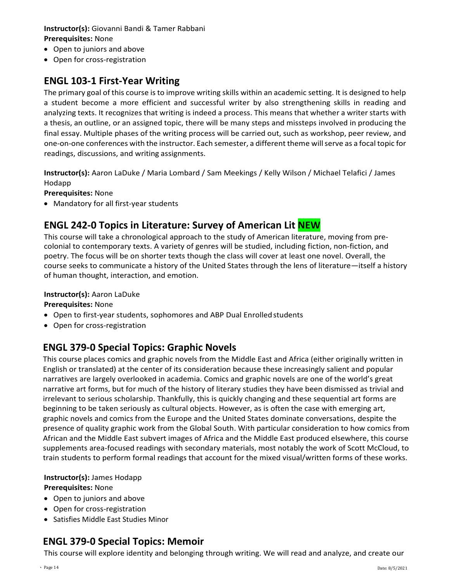### **Instructor(s):** Giovanni Bandi & Tamer Rabbani **Prerequisites:** None

- Open to juniors and above
- Open for cross‐registration

### **ENGL 103‐1 First‐Year Writing**

The primary goal of this course is to improve writing skills within an academic setting. It is designed to help a student become a more efficient and successful writer by also strengthening skills in reading and analyzing texts. It recognizes that writing is indeed a process. This means that whether a writer starts with a thesis, an outline, or an assigned topic, there will be many steps and missteps involved in producing the final essay. Multiple phases of the writing process will be carried out, such as workshop, peer review, and one‐on‐one conferences with the instructor. Each semester, a different theme willserve as a focal topic for readings, discussions, and writing assignments.

**Instructor(s):** Aaron LaDuke / Maria Lombard / Sam Meekings / Kelly Wilson / Michael Telafici / James Hodapp

**Prerequisites:** None

• Mandatory for all first-year students

## **ENGL 242‐0 Topics in Literature: Survey of American Lit NEW**

This course will take a chronological approach to the study of American literature, moving from precolonial to contemporary texts. A variety of genres will be studied, including fiction, non-fiction, and poetry. The focus will be on shorter texts though the class will cover at least one novel. Overall, the course seeks to communicate a history of the United States through the lens of literature—itself a history of human thought, interaction, and emotion.

#### **Instructor(s):** Aaron LaDuke

#### **Prerequisites:** None

- Open to first-year students, sophomores and ABP Dual Enrolled students
- Open for cross‐registration

### **ENGL 379-0 Special Topics: Graphic Novels**

This course places comics and graphic novels from the Middle East and Africa (either originally written in English or translated) at the center of its consideration because these increasingly salient and popular narratives are largely overlooked in academia. Comics and graphic novels are one of the world's great narrative art forms, but for much of the history of literary studies they have been dismissed as trivial and irrelevant to serious scholarship. Thankfully, this is quickly changing and these sequential art forms are beginning to be taken seriously as cultural objects. However, as is often the case with emerging art, graphic novels and comics from the Europe and the United States dominate conversations, despite the presence of quality graphic work from the Global South. With particular consideration to how comics from African and the Middle East subvert images of Africa and the Middle East produced elsewhere, this course supplements area-focused readings with secondary materials, most notably the work of Scott McCloud, to train students to perform formal readings that account for the mixed visual/written forms of these works.

#### **Instructor(s):** James Hodapp **Prerequisites:** None

- Open to juniors and above
- Open for cross‐registration
- Satisfies Middle East Studies Minor

### **ENGL 379-0 Special Topics: Memoir**

This course will explore identity and belonging through writing. We will read and analyze, and create our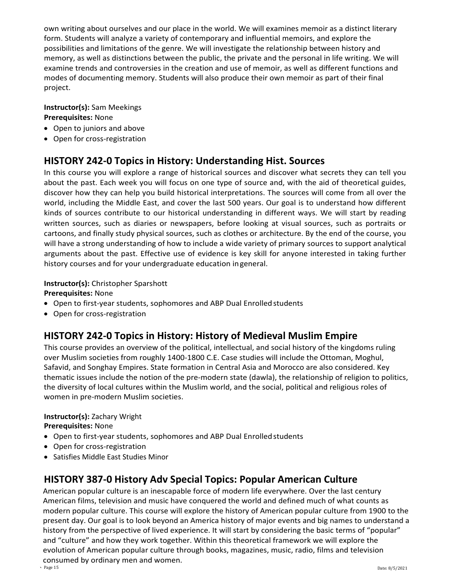own writing about ourselves and our place in the world. We will examines memoir as a distinct literary form. Students will analyze a variety of contemporary and influential memoirs, and explore the possibilities and limitations of the genre. We will investigate the relationship between history and memory, as well as distinctions between the public, the private and the personal in life writing. We will examine trends and controversies in the creation and use of memoir, as well as different functions and modes of documenting memory. Students will also produce their own memoir as part of their final project.

### **Instructor(s):** Sam Meekings **Prerequisites:** None

- Open to juniors and above
- Open for cross‐registration

## **HISTORY 242‐0 Topics in History: Understanding Hist. Sources**

In this course you will explore a range of historical sources and discover what secrets they can tell you about the past. Each week you will focus on one type of source and, with the aid of theoretical guides, discover how they can help you build historical interpretations. The sources will come from all over the world, including the Middle East, and cover the last 500 years. Our goal is to understand how different kinds of sources contribute to our historical understanding in different ways. We will start by reading written sources, such as diaries or newspapers, before looking at visual sources, such as portraits or cartoons, and finally study physical sources, such as clothes or architecture. By the end of the course, you will have a strong understanding of how to include a wide variety of primary sources to support analytical arguments about the past. Effective use of evidence is key skill for anyone interested in taking further history courses and for your undergraduate education ingeneral.

### **Instructor(s):** Christopher Sparshott

### **Prerequisites:** None

- Open to first-year students, sophomores and ABP Dual Enrolled students
- Open for cross‐registration

## **HISTORY 242-0 Topics in History: History of Medieval Muslim Empire**

This course provides an overview of the political, intellectual, and social history of the kingdoms ruling over Muslim societies from roughly 1400-1800 C.E. Case studies will include the Ottoman, Moghul, Safavid, and Songhay Empires. State formation in Central Asia and Morocco are also considered. Key thematic issues include the notion of the pre-modern state (dawla), the relationship of religion to politics, the diversity of local cultures within the Muslim world, and the social, political and religious roles of women in pre-modern Muslim societies.

### **Instructor(s):** Zachary Wright

**Prerequisites:** None

- Open to first-year students, sophomores and ABP Dual Enrolled students
- Open for cross‐registration
- Satisfies Middle East Studies Minor

## **HISTORY 387‐0 History Adv Special Topics: Popular American Culture**

American popular culture is an inescapable force of modern life everywhere. Over the last century American films, television and music have conquered the world and defined much of what counts as modern popular culture. This course will explore the history of American popular culture from 1900 to the present day. Our goal is to look beyond an America history of major events and big names to understand a history from the perspective of lived experience. It will start by considering the basic terms of "popular" and "culture" and how they work together. Within this theoretical framework we will explore the evolution of American popular culture through books, magazines, music, radio, films and television consumed by ordinary men and women.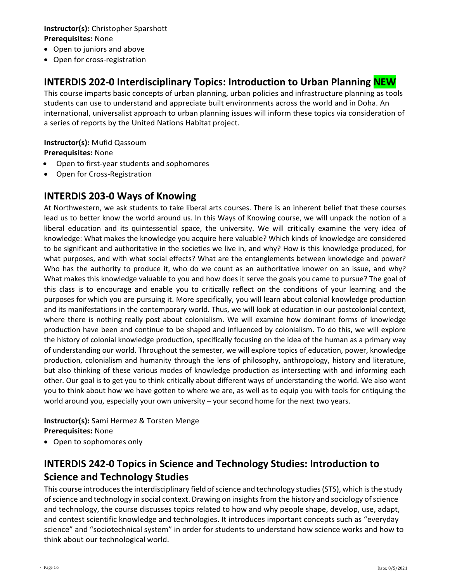### **Instructor(s):** Christopher Sparshott **Prerequisites:** None

- Open to juniors and above
- Open for cross‐registration

## **INTERDIS 202‐0 Interdisciplinary Topics: Introduction to Urban Planning NEW**

This course imparts basic concepts of urban planning, urban policies and infrastructure planning as tools students can use to understand and appreciate built environments across the world and in Doha. An international, universalist approach to urban planning issues will inform these topics via consideration of a series of reports by the United Nations Habitat project.

#### **Instructor(s):** Mufid Qassoum **Prerequisites:** None

- Open to first-year students and sophomores
- Open for Cross‐Registration

### **INTERDIS 203‐0 Ways of Knowing**

At Northwestern, we ask students to take liberal arts courses. There is an inherent belief that these courses lead us to better know the world around us. In this Ways of Knowing course, we will unpack the notion of a liberal education and its quintessential space, the university. We will critically examine the very idea of knowledge: What makes the knowledge you acquire here valuable? Which kinds of knowledge are considered to be significant and authoritative in the societies we live in, and why? How is this knowledge produced, for what purposes, and with what social effects? What are the entanglements between knowledge and power? Who has the authority to produce it, who do we count as an authoritative knower on an issue, and why? What makes this knowledge valuable to you and how does it serve the goals you came to pursue? The goal of this class is to encourage and enable you to critically reflect on the conditions of your learning and the purposes for which you are pursuing it. More specifically, you will learn about colonial knowledge production and its manifestations in the contemporary world. Thus, we will look at education in our postcolonial context, where there is nothing really post about colonialism. We will examine how dominant forms of knowledge production have been and continue to be shaped and influenced by colonialism. To do this, we will explore the history of colonial knowledge production, specifically focusing on the idea of the human as a primary way of understanding our world. Throughout the semester, we will explore topics of education, power, knowledge production, colonialism and humanity through the lens of philosophy, anthropology, history and literature, but also thinking of these various modes of knowledge production as intersecting with and informing each other. Our goal is to get you to think critically about different ways of understanding the world. We also want you to think about how we have gotten to where we are, as well as to equip you with tools for critiquing the world around you, especially your own university – your second home for the next two years.

### **Instructor(s):** Sami Hermez & Torsten Menge **Prerequisites:** None

• Open to sophomores only

## **INTERDIS 242‐0 Topics in Science and Technology Studies: Introduction to Science and Technology Studies**

This course introduces the interdisciplinary field of science and technology studies (STS), which is the study of science and technology in social context. Drawing on insights from the history and sociology of science and technology, the course discusses topics related to how and why people shape, develop, use, adapt, and contest scientific knowledge and technologies. It introduces important concepts such as "everyday science" and "sociotechnical system" in order for students to understand how science works and how to think about our technological world.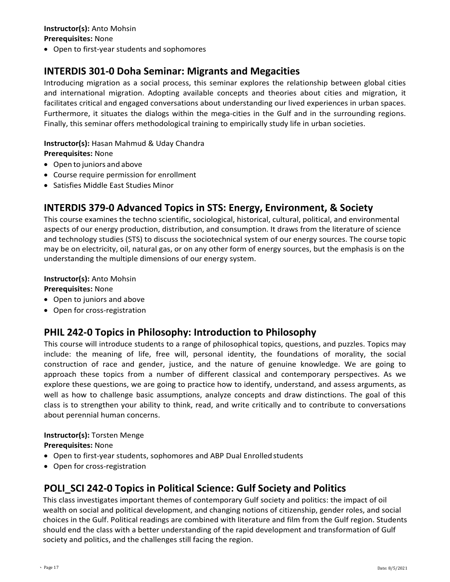#### **Instructor(s):** Anto Mohsin **Prerequisites:** None

• Open to first-year students and sophomores

## **INTERDIS 301‐0 Doha Seminar: Migrants and Megacities**

Introducing migration as a social process, this seminar explores the relationship between global cities and international migration. Adopting available concepts and theories about cities and migration, it facilitates critical and engaged conversations about understanding our lived experiences in urban spaces. Furthermore, it situates the dialogs within the mega-cities in the Gulf and in the surrounding regions. Finally, this seminar offers methodological training to empirically study life in urban societies.

#### **Instructor(s):** Hasan Mahmud & Uday Chandra **Prerequisites:** None

- Open to juniors and above
- Course require permission for enrollment
- Satisfies Middle East Studies Minor

### **INTERDIS 379-0 Advanced Topics in STS: Energy, Environment, & Society**

This course examines the techno scientific, sociological, historical, cultural, political, and environmental aspects of our energy production, distribution, and consumption. It draws from the literature of science and technology studies (STS) to discuss the sociotechnical system of our energy sources. The course topic may be on electricity, oil, natural gas, or on any other form of energy sources, but the emphasis is on the understanding the multiple dimensions of our energy system.

#### **Instructor(s):** Anto Mohsin **Prerequisites:** None

- Open to juniors and above
- Open for cross‐registration

## **PHIL 242‐0 Topics in Philosophy: Introduction to Philosophy**

This course will introduce students to a range of philosophical topics, questions, and puzzles. Topics may include: the meaning of life, free will, personal identity, the foundations of morality, the social construction of race and gender, justice, and the nature of genuine knowledge. We are going to approach these topics from a number of different classical and contemporary perspectives. As we explore these questions, we are going to practice how to identify, understand, and assess arguments, as well as how to challenge basic assumptions, analyze concepts and draw distinctions. The goal of this class is to strengthen your ability to think, read, and write critically and to contribute to conversations about perennial human concerns.

### **Instructor(s):** Torsten Menge

**Prerequisites:** None

- Open to first-year students, sophomores and ABP Dual Enrolled students
- Open for cross‐registration

## **POLI\_SCI 242‐0 Topics in Political Science: Gulf Society and Politics**

This class investigates important themes of contemporary Gulf society and politics: the impact of oil wealth on social and political development, and changing notions of citizenship, gender roles, and social choices in the Gulf. Political readings are combined with literature and film from the Gulf region. Students should end the class with a better understanding of the rapid development and transformation of Gulf society and politics, and the challenges still facing the region.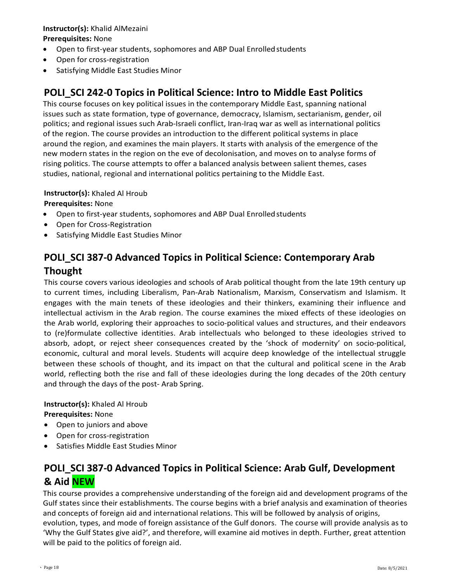### **Instructor(s):** Khalid AlMezaini **Prerequisites:** None

- Open to first-year students, sophomores and ABP Dual Enrolledstudents
- Open for cross-registration
- Satisfying Middle East Studies Minor

## **POLI\_SCI 242‐0 Topics in Political Science: Intro to Middle East Politics**

This course focuses on key political issues in the contemporary Middle East, spanning national issues such as state formation, type of governance, democracy, Islamism, sectarianism, gender, oil politics; and regional issues such Arab-Israeli conflict, Iran-Iraq war as well as international politics of the region. The course provides an introduction to the different political systems in place around the region, and examines the main players. It starts with analysis of the emergence of the new modern states in the region on the eve of decolonisation, and moves on to analyse forms of rising politics. The course attempts to offer a balanced analysis between salient themes, cases studies, national, regional and international politics pertaining to the Middle East.

### **Instructor(s):** Khaled Al Hroub

**Prerequisites:** None

- Open to first-year students, sophomores and ABP Dual Enrolledstudents
- Open for Cross‐Registration
- Satisfying Middle East Studies Minor

## **POLI\_SCI 387‐0 Advanced Topics in Political Science: Contemporary Arab Thought**

This course covers various ideologies and schools of Arab political thought from the late 19th century up to current times, including Liberalism, Pan-Arab Nationalism, Marxism, Conservatism and Islamism. It engages with the main tenets of these ideologies and their thinkers, examining their influence and intellectual activism in the Arab region. The course examines the mixed effects of these ideologies on the Arab world, exploring their approaches to socio-political values and structures, and their endeavors to (re)formulate collective identities. Arab intellectuals who belonged to these ideologies strived to absorb, adopt, or reject sheer consequences created by the 'shock of modernity' on socio-political, economic, cultural and moral levels. Students will acquire deep knowledge of the intellectual struggle between these schools of thought, and its impact on that the cultural and political scene in the Arab world, reflecting both the rise and fall of these ideologies during the long decades of the 20th century and through the days of the post- Arab Spring.

**Instructor(s):** Khaled Al Hroub **Prerequisites:** None

- Open to juniors and above
- Open for cross‐registration
- Satisfies Middle East Studies Minor

## **POLI\_SCI 387‐0 Advanced Topics in Political Science: Arab Gulf, Development & Aid NEW**

This course provides a comprehensive understanding of the foreign aid and development programs of the Gulf states since their establishments. The course begins with a brief analysis and examination of theories and concepts of foreign aid and international relations. This will be followed by analysis of origins, evolution, types, and mode of foreign assistance of the Gulf donors. The course will provide analysis as to 'Why the Gulf States give aid?', and therefore, will examine aid motives in depth. Further, great attention will be paid to the politics of foreign aid.